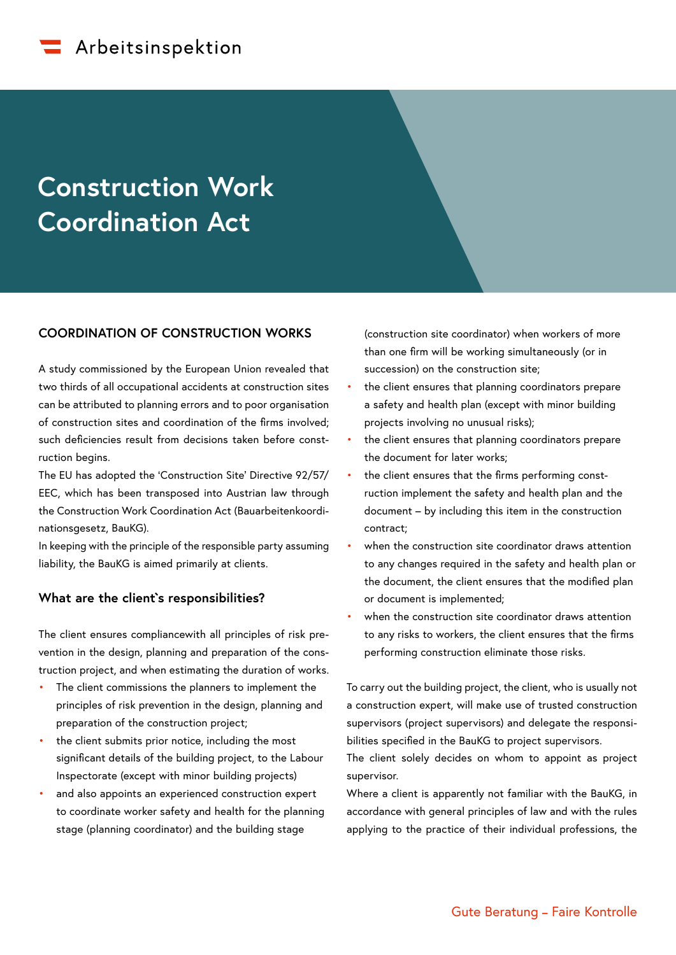# **Construction Work Coordination Act**

#### **COORDINATION OF CONSTRUCTION WORKS**

A study commissioned by the European Union revealed that two thirds of all occupational accidents at construction sites can be attributed to planning errors and to poor organisation of construction sites and coordination of the firms involved; such deficiencies result from decisions taken before construction begins.

The EU has adopted the 'Construction Site' Directive 92/57/ EEC, which has been transposed into Austrian law through the Construction Work Coordination Act (Bauarbeitenkoordinationsgesetz, BauKG).

In keeping with the principle of the responsible party assuming liability, the BauKG is aimed primarily at clients.

#### **What are the client`s responsibilities?**

The client ensures compliancewith all principles of risk prevention in the design, planning and preparation of the construction project, and when estimating the duration of works.

- The client commissions the planners to implement the principles of risk prevention in the design, planning and preparation of the construction project;
- the client submits prior notice, including the most significant details of the building project, to the Labour Inspectorate (except with minor building projects)
- and also appoints an experienced construction expert to coordinate worker safety and health for the planning stage (planning coordinator) and the building stage

(construction site coordinator) when workers of more than one firm will be working simultaneously (or in succession) on the construction site;

- the client ensures that planning coordinators prepare a safety and health plan (except with minor building projects involving no unusual risks);
- the client ensures that planning coordinators prepare the document for later works;
- the client ensures that the firms performing construction implement the safety and health plan and the document – by including this item in the construction contract;
- when the construction site coordinator draws attention to any changes required in the safety and health plan or the document, the client ensures that the modified plan or document is implemented;
- when the construction site coordinator draws attention to any risks to workers, the client ensures that the firms performing construction eliminate those risks.

To carry out the building project, the client, who is usually not a construction expert, will make use of trusted construction supervisors (project supervisors) and delegate the responsibilities specified in the BauKG to project supervisors.

The client solely decides on whom to appoint as project supervisor.

Where a client is apparently not familiar with the BauKG, in accordance with general principles of law and with the rules applying to the practice of their individual professions, the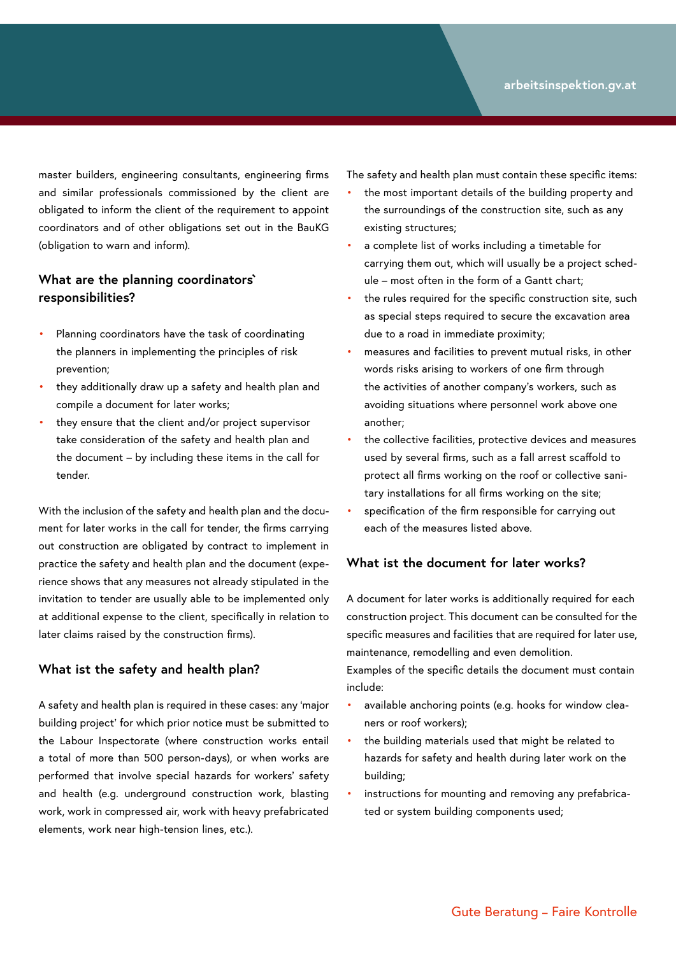master builders, engineering consultants, engineering firms and similar professionals commissioned by the client are obligated to inform the client of the requirement to appoint coordinators and of other obligations set out in the BauKG (obligation to warn and inform).

### **What are the planning coordinators` responsibilities?**

- Planning coordinators have the task of coordinating the planners in implementing the principles of risk prevention;
- they additionally draw up a safety and health plan and compile a document for later works;
- they ensure that the client and/or project supervisor take consideration of the safety and health plan and the document – by including these items in the call for tender.

With the inclusion of the safety and health plan and the document for later works in the call for tender, the firms carrying out construction are obligated by contract to implement in practice the safety and health plan and the document (experience shows that any measures not already stipulated in the invitation to tender are usually able to be implemented only at additional expense to the client, specifically in relation to later claims raised by the construction firms).

#### **What ist the safety and health plan?**

A safety and health plan is required in these cases: any 'major building project' for which prior notice must be submitted to the Labour Inspectorate (where construction works entail a total of more than 500 person-days), or when works are performed that involve special hazards for workers' safety and health (e.g. underground construction work, blasting work, work in compressed air, work with heavy prefabricated elements, work near high-tension lines, etc.).

The safety and health plan must contain these specific items:

- the most important details of the building property and the surroundings of the construction site, such as any existing structures;
- a complete list of works including a timetable for carrying them out, which will usually be a project schedule – most often in the form of a Gantt chart;
- the rules required for the specific construction site, such as special steps required to secure the excavation area due to a road in immediate proximity;
- measures and facilities to prevent mutual risks, in other words risks arising to workers of one firm through the activities of another company's workers, such as avoiding situations where personnel work above one another;
- the collective facilities, protective devices and measures used by several firms, such as a fall arrest scaffold to protect all firms working on the roof or collective sanitary installations for all firms working on the site;
- specification of the firm responsible for carrying out each of the measures listed above.

#### **What ist the document for later works?**

A document for later works is additionally required for each construction project. This document can be consulted for the specific measures and facilities that are required for later use, maintenance, remodelling and even demolition.

Examples of the specific details the document must contain include:

- available anchoring points (e.g. hooks for window cleaners or roof workers);
- the building materials used that might be related to hazards for safety and health during later work on the building;
- instructions for mounting and removing any prefabricated or system building components used;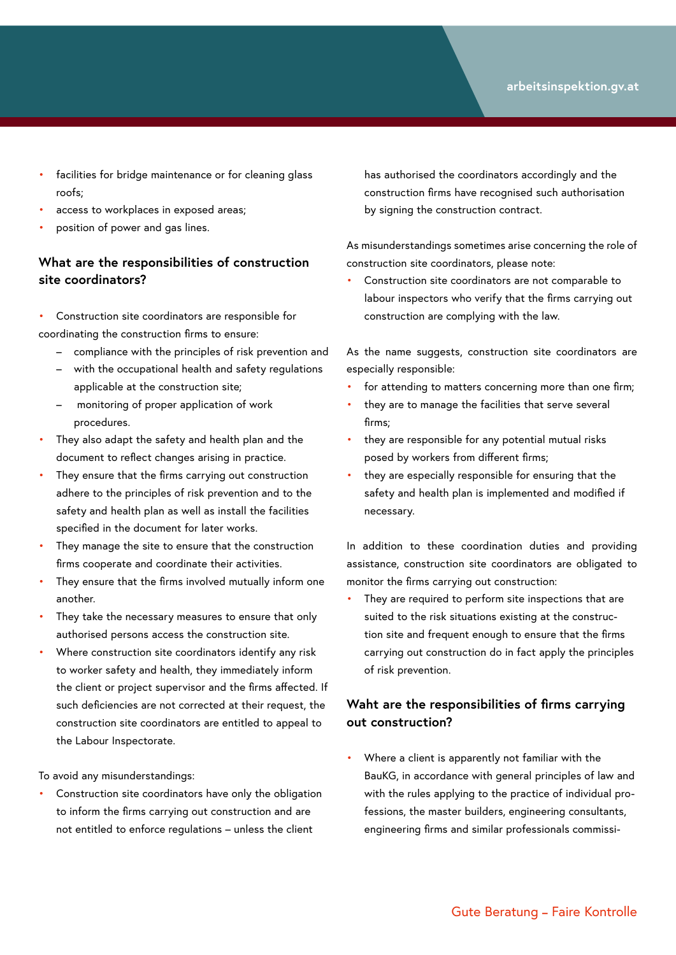- facilities for bridge maintenance or for cleaning glass roofs;
- access to workplaces in exposed areas;
- position of power and gas lines.

## **What are the responsibilities of construction site coordinators?**

- Construction site coordinators are responsible for coordinating the construction firms to ensure:
	- compliance with the principles of risk prevention and
	- with the occupational health and safety regulations applicable at the construction site;
	- monitoring of proper application of work procedures.
- They also adapt the safety and health plan and the document to reflect changes arising in practice.
- They ensure that the firms carrying out construction adhere to the principles of risk prevention and to the safety and health plan as well as install the facilities specified in the document for later works.
- They manage the site to ensure that the construction firms cooperate and coordinate their activities.
- They ensure that the firms involved mutually inform one another.
- They take the necessary measures to ensure that only authorised persons access the construction site.
- Where construction site coordinators identify any risk to worker safety and health, they immediately inform the client or project supervisor and the firms affected. If such deficiencies are not corrected at their request, the construction site coordinators are entitled to appeal to the Labour Inspectorate.

To avoid any misunderstandings:

• Construction site coordinators have only the obligation to inform the firms carrying out construction and are not entitled to enforce regulations – unless the client

has authorised the coordinators accordingly and the construction firms have recognised such authorisation by signing the construction contract.

As misunderstandings sometimes arise concerning the role of construction site coordinators, please note:

• Construction site coordinators are not comparable to labour inspectors who verify that the firms carrying out construction are complying with the law.

As the name suggests, construction site coordinators are especially responsible:

- for attending to matters concerning more than one firm;
- they are to manage the facilities that serve several firms;
- they are responsible for any potential mutual risks posed by workers from different firms;
- they are especially responsible for ensuring that the safety and health plan is implemented and modified if necessary.

In addition to these coordination duties and providing assistance, construction site coordinators are obligated to monitor the firms carrying out construction:

They are required to perform site inspections that are suited to the risk situations existing at the construction site and frequent enough to ensure that the firms carrying out construction do in fact apply the principles of risk prevention.

# **Waht are the responsibilities of firms carrying out construction?**

• Where a client is apparently not familiar with the BauKG, in accordance with general principles of law and with the rules applying to the practice of individual professions, the master builders, engineering consultants, engineering firms and similar professionals commissi